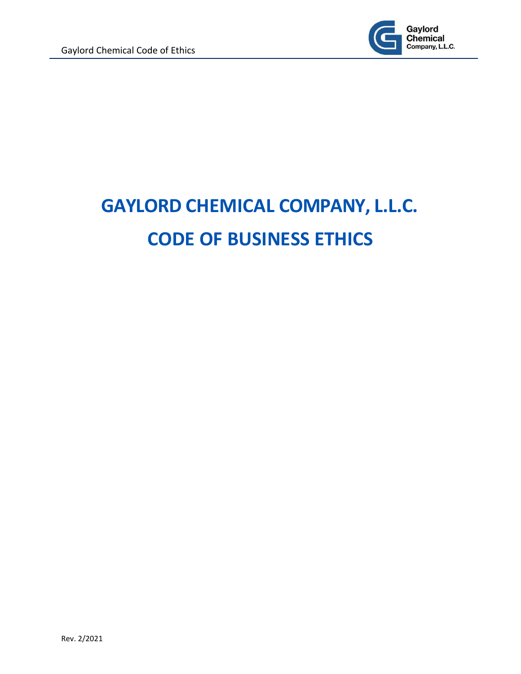

# <span id="page-0-0"></span>**GAYLORD CHEMICAL COMPANY, L.L.C. CODE OF BUSINESS ETHICS**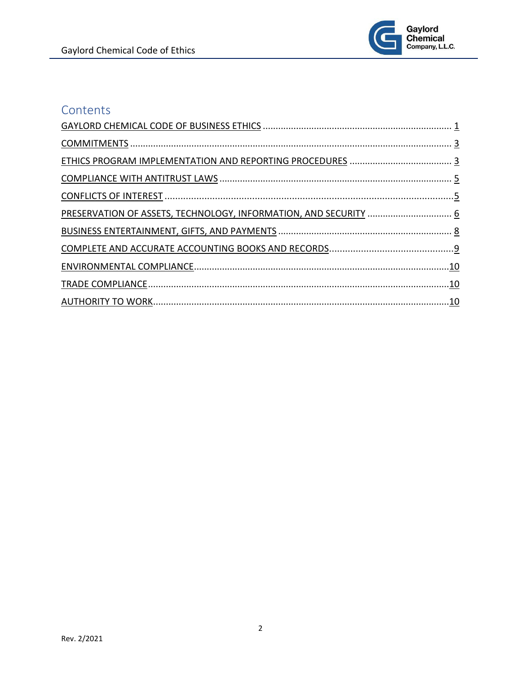

# Contents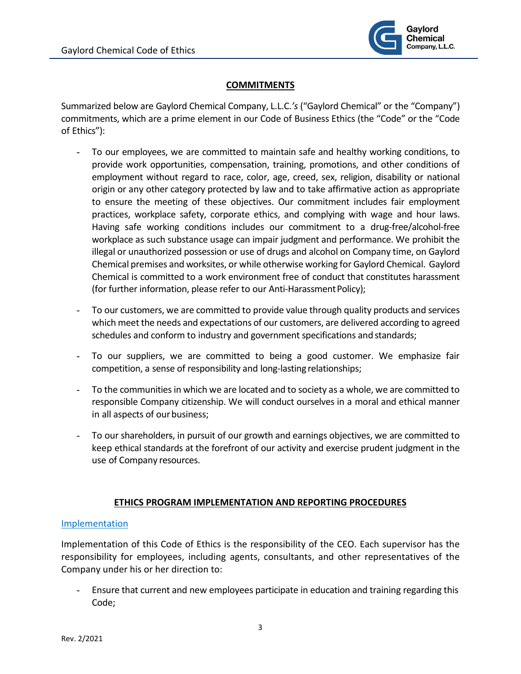

# **COMMITMENTS**

<span id="page-2-0"></span>Summarized below are Gaylord Chemical Company, L.L.C.*'s* ("Gaylord Chemical" or the "Company") commitments, which are a prime element in our Code of Business Ethics (the "Code" or the "Code of Ethics"):

- To our employees, we are committed to maintain safe and healthy working conditions, to provide work opportunities, compensation, training, promotions, and other conditions of employment without regard to race, color, age, creed, sex, religion, disability or national origin or any other category protected by law and to take affirmative action as appropriate to ensure the meeting of these objectives. Our commitment includes fair employment practices, workplace safety, corporate ethics, and complying with wage and hour laws. Having safe working conditions includes our commitment to a drug-free/alcohol-free workplace as such substance usage can impair judgment and performance. We prohibit the illegal or unauthorized possession or use of drugs and alcohol on Company time, on Gaylord Chemical premises and worksites, or while otherwise working for Gaylord Chemical. Gaylord Chemical is committed to a work environment free of conduct that constitutes harassment (for further information, please refer to our Anti-Harassment Policy);
- To our customers, we are committed to provide value through quality products and services which meet the needs and expectations of our customers, are delivered according to agreed schedules and conform to industry and government specifications and standards;
- To our suppliers, we are committed to being a good customer. We emphasize fair competition, a sense of responsibility and long-lasting relationships;
- To the communitiesin which we are located and to society as a whole, we are committed to responsible Company citizenship. We will conduct ourselves in a moral and ethical manner in all aspects of our business;
- To our shareholders, in pursuit of our growth and earnings objectives, we are committed to keep ethical standards at the forefront of our activity and exercise prudent judgment in the use of Company resources.

# **ETHICS PROGRAM IMPLEMENTATION AND REPORTING PROCEDURES**

# <span id="page-2-1"></span>Implementation

Implementation of this Code of Ethics is the responsibility of the CEO. Each supervisor has the responsibility for employees, including agents, consultants, and other representatives of the Company under his or her direction to:

- Ensure that current and new employees participate in education and training regarding this Code;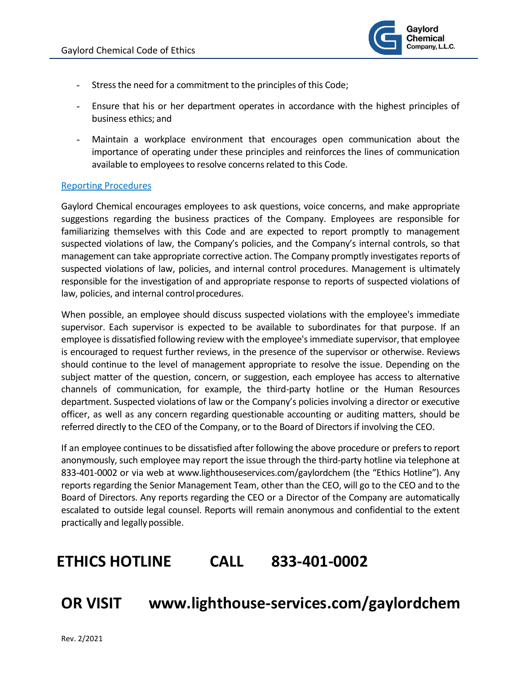

- Stressthe need for a commitment to the principles of this Code;
- Ensure that his or her department operates in accordance with the highest principles of business ethics; and
- Maintain a workplace environment that encourages open communication about the importance of operating under these principles and reinforces the lines of communication available to employees to resolve concerns related to this Code.

#### Reporting Procedures

Gaylord Chemical encourages employees to ask questions, voice concerns, and make appropriate suggestions regarding the business practices of the Company. Employees are responsible for familiarizing themselves with this Code and are expected to report promptly to management suspected violations of law, the Company's policies, and the Company's internal controls, so that management can take appropriate corrective action. The Company promptly investigates reports of suspected violations of law, policies, and internal control procedures. Management is ultimately responsible for the investigation of and appropriate response to reports of suspected violations of law, policies, and internal control procedures.

When possible, an employee should discuss suspected violations with the employee's immediate supervisor. Each supervisor is expected to be available to subordinates for that purpose. If an employee is dissatisfied following review with the employee'simmediate supervisor, that employee is encouraged to request further reviews, in the presence of the supervisor or otherwise. Reviews should continue to the level of management appropriate to resolve the issue. Depending on the subject matter of the question, concern, or suggestion, each employee has access to alternative channels of communication, for example, the third-party hotline or the Human Resources department. Suspected violations of law or the Company's policies involving a director or executive officer, as well as any concern regarding questionable accounting or auditing matters, should be referred directly to the CEO of the Company, or to the Board of Directorsif involving the CEO.

If an employee continues to be dissatisfied after following the above procedure or prefers to report anonymously, such employee may report the issue through the third-party hotline via telephone at 833-401-0002 or via web at [www.lighthouseservices.com/gaylordchem \(](http://www.lighthouseservices.com/gaylordchem)the "Ethics Hotline"). Any reports regarding the Senior Management Team, other than the CEO, will go to the CEO and to the Board of Directors. Any reports regarding the CEO or a Director of the Company are automatically escalated to outside legal counsel. Reports will remain anonymous and confidential to the extent practically and legally possible.

# **ETHICS HOTLINE CALL 833-401-0002**

# **OR VISIT www.lighthouse-services.com/gaylordchem**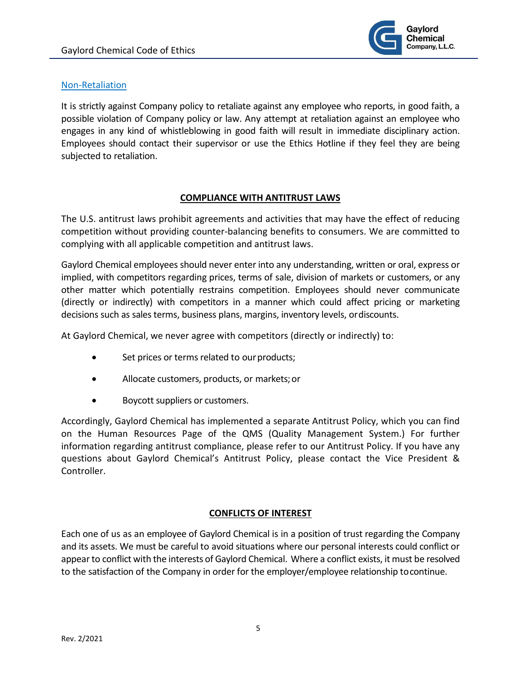

### Non-Retaliation

It is strictly against Company policy to retaliate against any employee who reports, in good faith, a possible violation of Company policy or law. Any attempt at retaliation against an employee who engages in any kind of whistleblowing in good faith will result in immediate disciplinary action. Employees should contact their supervisor or use the Ethics Hotline if they feel they are being subjected to retaliation.

#### **COMPLIANCE WITH ANTITRUST LAWS**

<span id="page-4-0"></span>The U.S. antitrust laws prohibit agreements and activities that may have the effect of reducing competition without providing counter-balancing benefits to consumers. We are committed to complying with all applicable competition and antitrust laws.

Gaylord Chemical employees should never enter into any understanding, written or oral, express or implied, with competitors regarding prices, terms of sale, division of markets or customers, or any other matter which potentially restrains competition. Employees should never communicate (directly or indirectly) with competitors in a manner which could affect pricing or marketing decisions such as sales terms, business plans, margins, inventory levels, ordiscounts.

At Gaylord Chemical, we never agree with competitors (directly or indirectly) to:

- Set prices or terms related to our products;
- Allocate customers, products, or markets;or
- Boycott suppliers or customers.

Accordingly, Gaylord Chemical has implemented a separate Antitrust Policy, which you can find on the Human Resources Page of the QMS (Quality Management System.) For further information regarding antitrust compliance, please refer to our Antitrust Policy. If you have any questions about Gaylord Chemical's Antitrust Policy, please contact the Vice President & Controller.

# **CONFLICTS OF INTEREST**

<span id="page-4-1"></span>Each one of us as an employee of Gaylord Chemical is in a position of trust regarding the Company and its assets. We must be careful to avoid situations where our personal interests could conflict or appearto conflict with the interests of Gaylord Chemical. Where a conflict exists, it must be resolved to the satisfaction of the Company in order for the employer/employee relationship tocontinue.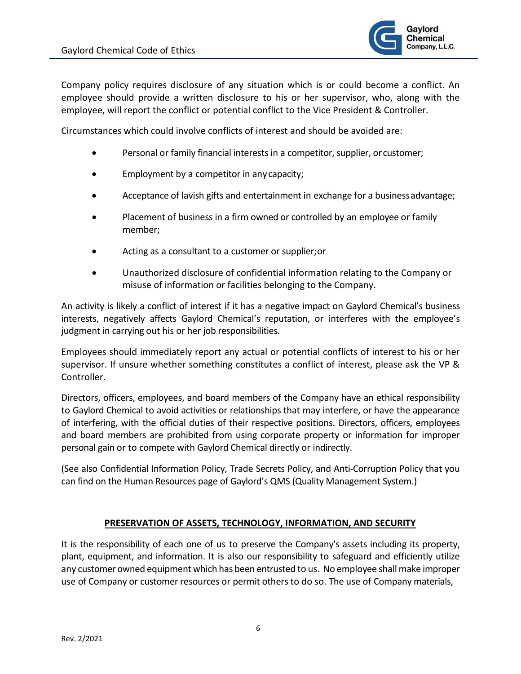

Company policy requires disclosure of any situation which is or could become a conflict. An employee should provide a written disclosure to his or her supervisor, who, along with the employee, will report the conflict or potential conflict to the Vice President & Controller.

Circumstances which could involve conflicts of interest and should be avoided are:

- Personal or family financial interests in a competitor, supplier, orcustomer;
- Employment by a competitor in anycapacity;
- Acceptance of lavish gifts and entertainment in exchange for a businessadvantage;
- Placement of business in a firm owned or controlled by an employee or family member;
- Acting as a consultant to a customer or supplier;or
- Unauthorized disclosure of confidential information relating to the Company or misuse of information or facilities belonging to the Company.

An activity is likely a conflict of interest if it has a negative impact on Gaylord Chemical's business interests, negatively affects Gaylord Chemical's reputation, or interferes with the employee's judgment in carrying out his or her job responsibilities.

Employees should immediately report any actual or potential conflicts of interest to his or her supervisor. If unsure whether something constitutes a conflict of interest, please ask the VP & Controller.

Directors, officers, employees, and board members of the Company have an ethical responsibility to Gaylord Chemical to avoid activities or relationships that may interfere, or have the appearance of interfering, with the official duties of their respective positions. Directors, officers, employees and board members are prohibited from using corporate property or information for improper personal gain or to compete with Gaylord Chemical directly or indirectly.

(See also Confidential Information Policy, Trade Secrets Policy, and Anti-Corruption Policy that you can find on the Human Resources page of Gaylord's QMS (Quality Management System.)

# **PRESERVATION OF ASSETS, TECHNOLOGY, INFORMATION, AND SECURITY**

<span id="page-5-0"></span>It is the responsibility of each one of us to preserve the Company's assets including its property, plant, equipment, and information. It is also our responsibility to safeguard and efficiently utilize any customer owned equipment which has been entrusted to us. No employee shall make improper use of Company or customer resources or permit others to do so. The use of Company materials,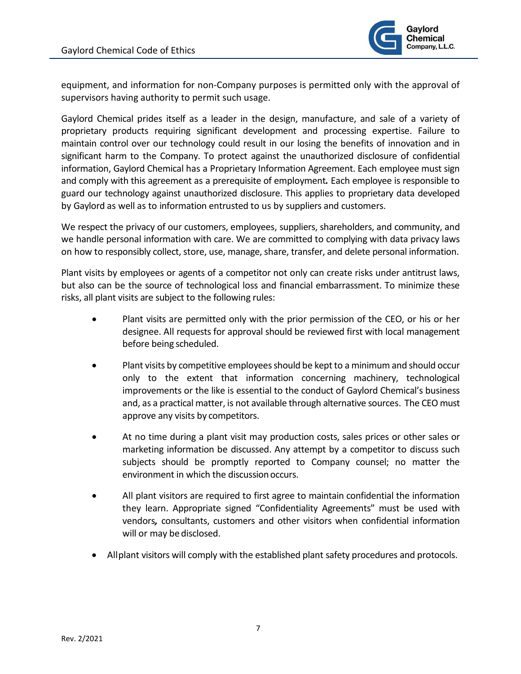

equipment, and information for non-Company purposes is permitted only with the approval of supervisors having authority to permit such usage.

Gaylord Chemical prides itself as a leader in the design, manufacture, and sale of a variety of proprietary products requiring significant development and processing expertise. Failure to maintain control over our technology could result in our losing the benefits of innovation and in significant harm to the Company. To protect against the unauthorized disclosure of confidential information, Gaylord Chemical has a Proprietary Information Agreement. Each employee must sign and comply with this agreement as a prerequisite of employment*.* Each employee is responsible to guard our technology against unauthorized disclosure. This applies to proprietary data developed by Gaylord as well as to information entrusted to us by suppliers and customers.

We respect the privacy of our customers, employees, suppliers, shareholders, and community, and we handle personal information with care. We are committed to complying with data privacy laws on how to responsibly collect, store, use, manage, share, transfer, and delete personal information.

Plant visits by employees or agents of a competitor not only can create risks under antitrust laws, but also can be the source of technological loss and financial embarrassment. To minimize these risks, all plant visits are subject to the following rules:

- Plant visits are permitted only with the prior permission of the CEO, or his or her designee. All requests for approval should be reviewed first with local management before being scheduled.
- Plant visits by competitive employees should be kept to a minimum and should occur only to the extent that information concerning machinery, technological improvements or the like is essential to the conduct of Gaylord Chemical's business and, as a practical matter, is not available through alternative sources. The CEO must approve any visits by competitors.
- At no time during a plant visit may production costs, sales prices or other sales or marketing information be discussed. Any attempt by a competitor to discuss such subjects should be promptly reported to Company counsel; no matter the environment in which the discussion occurs.
- All plant visitors are required to first agree to maintain confidential the information they learn. Appropriate signed "Confidentiality Agreements" must be used with vendors*,* consultants, customers and other visitors when confidential information will or may be disclosed.
- Allplant visitors will comply with the established plant safety procedures and protocols.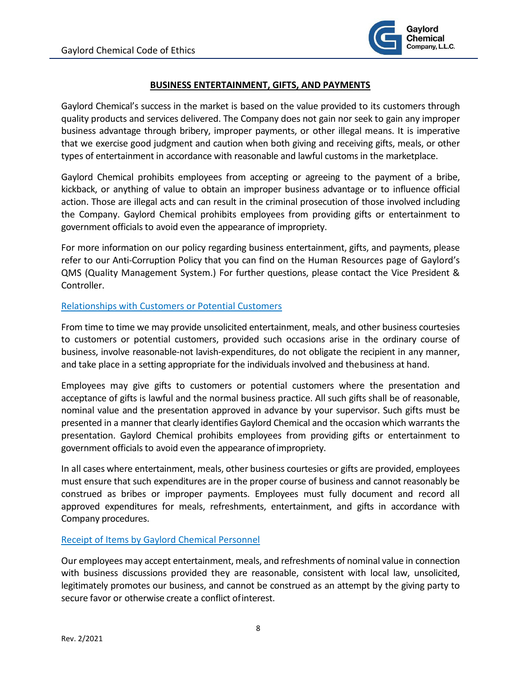

# **BUSINESS ENTERTAINMENT, GIFTS, AND PAYMENTS**

<span id="page-7-0"></span>Gaylord Chemical's success in the market is based on the value provided to its customers through quality products and services delivered. The Company does not gain nor seek to gain any improper business advantage through bribery, improper payments, or other illegal means. It is imperative that we exercise good judgment and caution when both giving and receiving gifts, meals, or other types of entertainment in accordance with reasonable and lawful customs in the marketplace.

Gaylord Chemical prohibits employees from accepting or agreeing to the payment of a bribe, kickback, or anything of value to obtain an improper business advantage or to influence official action. Those are illegal acts and can result in the criminal prosecution of those involved including the Company. Gaylord Chemical prohibits employees from providing gifts or entertainment to government officials to avoid even the appearance of impropriety.

For more information on our policy regarding business entertainment, gifts, and payments, please refer to our Anti-Corruption Policy that you can find on the Human Resources page of Gaylord's QMS (Quality Management System.) For further questions, please contact the Vice President & Controller.

# Relationships with Customers or Potential Customers

From time to time we may provide unsolicited entertainment, meals, and other business courtesies to customers or potential customers, provided such occasions arise in the ordinary course of business, involve reasonable-not lavish-expenditures, do not obligate the recipient in any manner, and take place in a setting appropriate for the individuals involved and thebusiness at hand.

Employees may give gifts to customers or potential customers where the presentation and acceptance of gifts is lawful and the normal business practice. All such gifts shall be of reasonable, nominal value and the presentation approved in advance by your supervisor. Such gifts must be presented in a manner that clearly identifies Gaylord Chemical and the occasion which warrantsthe presentation. Gaylord Chemical prohibits employees from providing gifts or entertainment to government officials to avoid even the appearance ofimpropriety.

In all cases where entertainment, meals, other business courtesies or gifts are provided, employees must ensure that such expenditures are in the proper course of business and cannot reasonably be construed as bribes or improper payments. Employees must fully document and record all approved expenditures for meals, refreshments, entertainment, and gifts in accordance with Company procedures.

# Receipt of Items by Gaylord Chemical Personnel

Our employees may accept entertainment, meals, and refreshments of nominal value in connection with business discussions provided they are reasonable, consistent with local law, unsolicited, legitimately promotes our business, and cannot be construed as an attempt by the giving party to secure favor or otherwise create a conflict ofinterest.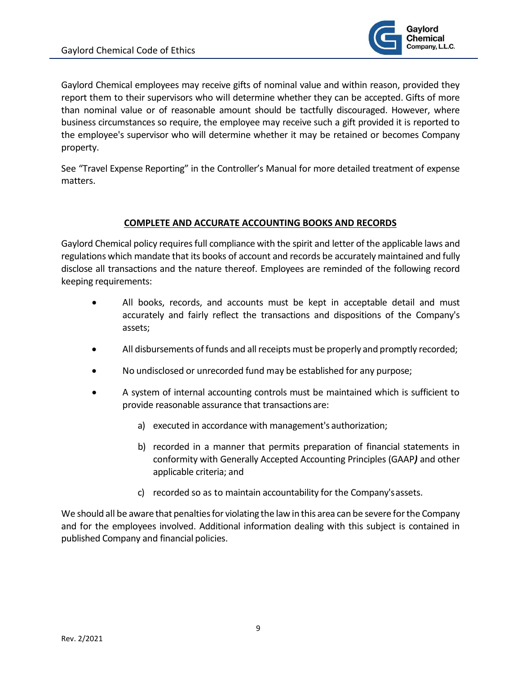

Gaylord Chemical employees may receive gifts of nominal value and within reason, provided they report them to their supervisors who will determine whether they can be accepted. Gifts of more than nominal value or of reasonable amount should be tactfully discouraged. However, where business circumstances so require, the employee may receive such a gift provided it is reported to the employee's supervisor who will determine whether it may be retained or becomes Company property.

See "Travel Expense Reporting" in the Controller's Manual for more detailed treatment of expense matters.

# **COMPLETE AND ACCURATE ACCOUNTING BOOKS AND RECORDS**

<span id="page-8-0"></span>Gaylord Chemical policy requiresfull compliance with the spirit and letter of the applicable laws and regulations which mandate that its books of account and records be accurately maintained and fully disclose all transactions and the nature thereof. Employees are reminded of the following record keeping requirements:

- All books, records, and accounts must be kept in acceptable detail and must accurately and fairly reflect the transactions and dispositions of the Company's assets;
- All disbursements of funds and all receipts must be properly and promptly recorded;
- No undisclosed or unrecorded fund may be established for any purpose;
- A system of internal accounting controls must be maintained which is sufficient to provide reasonable assurance that transactions are:
	- a) executed in accordance with management's authorization;
	- b) recorded in a manner that permits preparation of financial statements in conformity with Generally Accepted Accounting Principles (GAAP*)* and other applicable criteria; and
	- c) recorded so as to maintain accountability for the Company'sassets.

We should all be aware that penalties for violating the law in this area can be severe for the Company and for the employees involved. Additional information dealing with this subject is contained in published Company and financial policies.